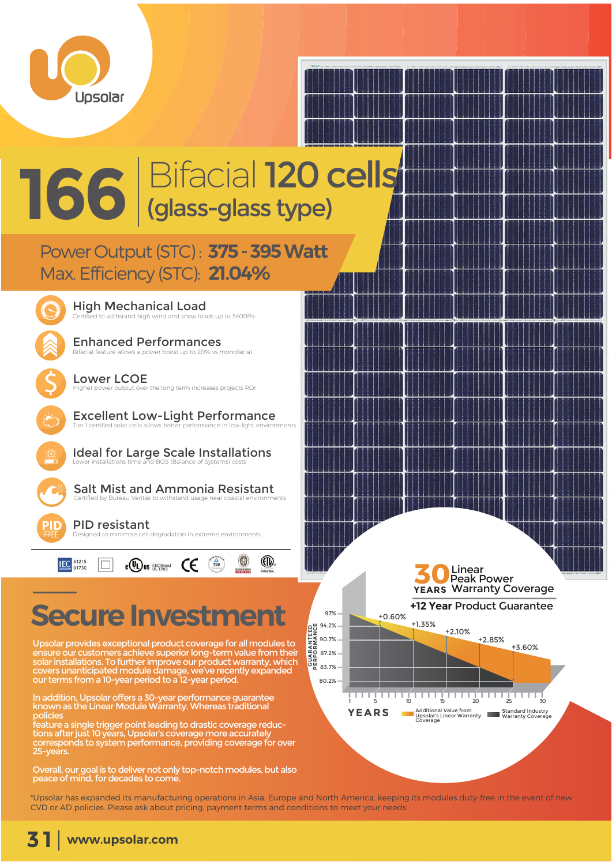

# **166** Bifacial 120 cells

# **Power Output (STC): 375 - 395 Watt Max. Efficiency (STC): 21.04%**



 $\overline{\mathsf{S}}$ 

High Mechanical Load to withstand high wind and snow loads up to 5400Pa

Enhanced Performances Bifacial feature allows a power boost up to 20% vs monofacial

Lower LCOE Higher power output over the long term increases projects ROI

Excellent Low-Light Performance merformance in low-light en

Ideal for Large Scale Installations Lower installations time and BOS (Balance of Systems) costs

Salt Mist and Ammonia Resistant Certified by Bureau Veritas to withstand usar

PID resistant **DESIGNITY**<br>esigned to minimise cell degradation in extreme environments

| IEC <sup>61215</sup> | c(UL) us SEC listed |  | <b>NETZYM</b> | (EIV) |
|----------------------|---------------------|--|---------------|-------|
|                      |                     |  |               |       |

**GRA** 

 $\widehat{a}$ 

 $\mathcal{P}^{\text{MSE},\text{d}_{\text{M}}}$ 

# **Secure Investm**

Upsolar provides exceptional product coverage for all modules to ensure our customers achieve superior long-term value from their solar installations. To further improve our product warranty, which covers unanticipated module damage, we've recently expanded our terms from a 10-year period to a 12-year period.

In addition, Upsolar offers a 30-year performance guarantee known as the Linear Module Warranty. Whereas traditional policie

feature a single trigger point leading to drastic coverage reductions after just 10 years, Upsolar's coverage more accurately corresponds to system performance, providing coverage for over 25-years.

Overall, our goal is to deliver not only top-notch modules, but also peace of mind, for decades to come.



\*Upsolar has expanded its manufacturing operations in Asia, Europe and North America, keeping its modules duty-free in the event of new CVD or AD policies. Please ask about pricing, payment terms and conditions to meet your needs.